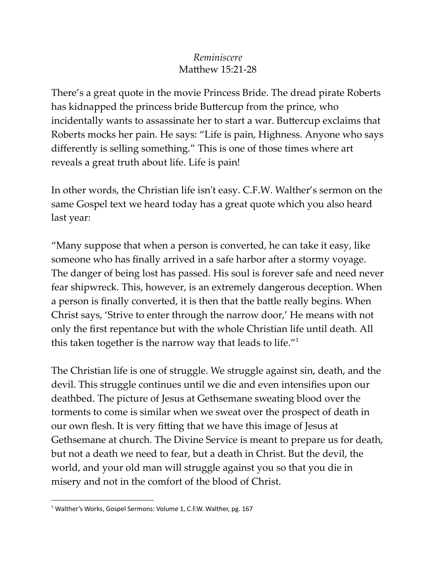## *Reminiscere* Matthew 15:21-28

There's a great quote in the movie Princess Bride. The dread pirate Roberts has kidnapped the princess bride Buttercup from the prince, who incidentally wants to assassinate her to start a war. Buttercup exclaims that Roberts mocks her pain. He says: "Life is pain, Highness. Anyone who says differently is selling something." This is one of those times where art reveals a great truth about life. Life is pain!

In other words, the Christian life isn't easy. C.F.W. Walther's sermon on the same Gospel text we heard today has a great quote which you also heard last year:

"Many suppose that when a person is converted, he can take it easy, like someone who has finally arrived in a safe harbor after a stormy voyage. The danger of being lost has passed. His soul is forever safe and need never fear shipwreck. This, however, is an extremely dangerous deception. When a person is finally converted, it is then that the battle really begins. When Christ says, 'Strive to enter through the narrow door,' He means with not only the first repentance but with the whole Christian life until death. All this taken together is the narrow way that leads to life."<sup>1</sup>

The Christian life is one of struggle. We struggle against sin, death, and the devil. This struggle continues until we die and even intensifies upon our deathbed. The picture of Jesus at Gethsemane sweating blood over the torments to come is similar when we sweat over the prospect of death in our own flesh. It is very fitting that we have this image of Jesus at Gethsemane at church. The Divine Service is meant to prepare us for death, but not a death we need to fear, but a death in Christ. But the devil, the world, and your old man will struggle against you so that you die in misery and not in the comfort of the blood of Christ.

<sup>&</sup>lt;sup>1</sup> Walther's Works, Gospel Sermons: Volume 1, C.F.W. Walther, pg. 167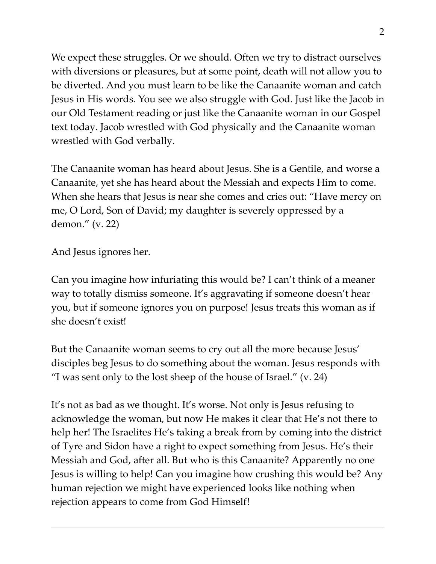We expect these struggles. Or we should. Often we try to distract ourselves with diversions or pleasures, but at some point, death will not allow you to be diverted. And you must learn to be like the Canaanite woman and catch Jesus in His words. You see we also struggle with God. Just like the Jacob in our Old Testament reading or just like the Canaanite woman in our Gospel text today. Jacob wrestled with God physically and the Canaanite woman wrestled with God verbally.

The Canaanite woman has heard about Jesus. She is a Gentile, and worse a Canaanite, yet she has heard about the Messiah and expects Him to come. When she hears that Jesus is near she comes and cries out: "Have mercy on me, O Lord, Son of David; my daughter is severely oppressed by a demon." (v. 22)

And Jesus ignores her.

Can you imagine how infuriating this would be? I can't think of a meaner way to totally dismiss someone. It's aggravating if someone doesn't hear you, but if someone ignores you on purpose! Jesus treats this woman as if she doesn't exist!

But the Canaanite woman seems to cry out all the more because Jesus' disciples beg Jesus to do something about the woman. Jesus responds with "I was sent only to the lost sheep of the house of Israel."  $(v. 24)$ 

It's not as bad as we thought. It's worse. Not only is Jesus refusing to acknowledge the woman, but now He makes it clear that He's not there to help her! The Israelites He's taking a break from by coming into the district of Tyre and Sidon have a right to expect something from Jesus. He's their Messiah and God, after all. But who is this Canaanite? Apparently no one Jesus is willing to help! Can you imagine how crushing this would be? Any human rejection we might have experienced looks like nothing when rejection appears to come from God Himself!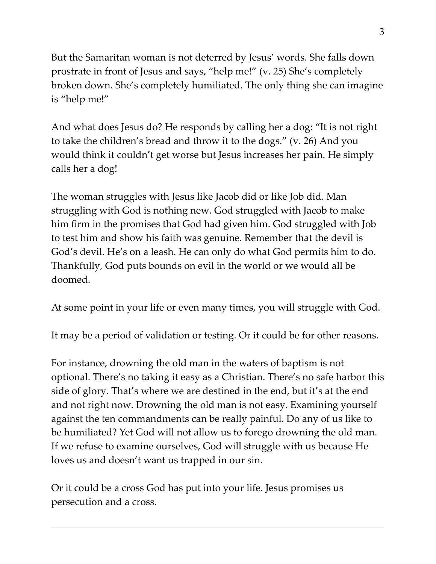But the Samaritan woman is not deterred by Jesus' words. She falls down prostrate in front of Jesus and says, "help me!" (v. 25) She's completely broken down. She's completely humiliated. The only thing she can imagine is "help me!"

And what does Jesus do? He responds by calling her a dog: "It is not right to take the children's bread and throw it to the dogs." (v. 26) And you would think it couldn't get worse but Jesus increases her pain. He simply calls her a dog!

The woman struggles with Jesus like Jacob did or like Job did. Man struggling with God is nothing new. God struggled with Jacob to make him firm in the promises that God had given him. God struggled with Job to test him and show his faith was genuine. Remember that the devil is God's devil. He's on a leash. He can only do what God permits him to do. Thankfully, God puts bounds on evil in the world or we would all be doomed.

At some point in your life or even many times, you will struggle with God.

It may be a period of validation or testing. Or it could be for other reasons.

For instance, drowning the old man in the waters of baptism is not optional. There's no taking it easy as a Christian. There's no safe harbor this side of glory. That's where we are destined in the end, but it's at the end and not right now. Drowning the old man is not easy. Examining yourself against the ten commandments can be really painful. Do any of us like to be humiliated? Yet God will not allow us to forego drowning the old man. If we refuse to examine ourselves, God will struggle with us because He loves us and doesn't want us trapped in our sin.

Or it could be a cross God has put into your life. Jesus promises us persecution and a cross.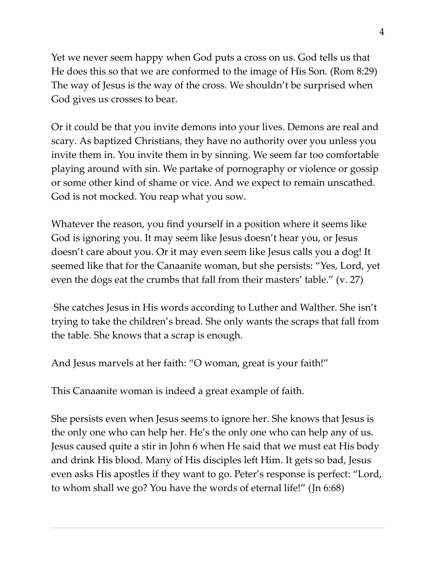Yet we never seem happy when God puts a cross on us. God tells us that He does this so that we are conformed to the image of His Son. (Rom 8:29) The way of Jesus is the way of the cross. We shouldn't be surprised when God gives us crosses to bear.

Or it could be that you invite demons into your lives. Demons are real and scary. As baptized Christians, they have no authority over you unless you invite them in. You invite them in by sinning. We seem far too comfortable playing around with sin. We partake of pornography or violence or gossip or some other kind of shame or vice. And we expect to remain unscathed. God is not mocked. You reap what you sow.

Whatever the reason, you find yourself in a position where it seems like God is ignoring you. It may seem like Jesus doesn't hear you, or Jesus doesn't care about you. Or it may even seem like Jesus calls you a dog! It seemed like that for the Canaanite woman, but she persists: "Yes, Lord, yet even the dogs eat the crumbs that fall from their masters' table." (v. 27)

She catches Jesus in His words according to Luther and Walther. She isn't trying to take the children's bread. She only wants the scraps that fall from the table. She knows that a scrap is enough.

And Jesus marvels at her faith: "O woman, great is your faith!"

This Canaanite woman is indeed a great example of faith.

She persists even when Jesus seems to ignore her. She knows that Jesus is the only one who can help her. He's the only one who can help any of us. Jesus caused quite a stir in John 6 when He said that we must eat His body and drink His blood. Many of His disciples left Him. It gets so bad, Jesus even asks His apostles if they want to go. Peter's response is perfect: "Lord, to whom shall we go? You have the words of eternal life!" (Jn 6:68)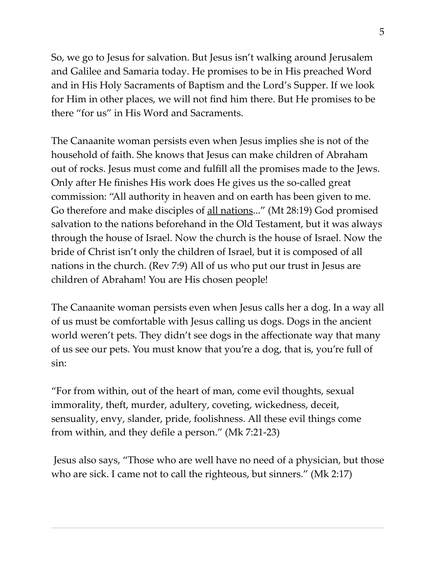So, we go to Jesus for salvation. But Jesus isn't walking around Jerusalem and Galilee and Samaria today. He promises to be in His preached Word and in His Holy Sacraments of Baptism and the Lord's Supper. If we look for Him in other places, we will not find him there. But He promises to be there "for us" in His Word and Sacraments.

The Canaanite woman persists even when Jesus implies she is not of the household of faith. She knows that Jesus can make children of Abraham out of rocks. Jesus must come and fulfill all the promises made to the Jews. Only after He finishes His work does He gives us the so-called great commission: "All authority in heaven and on earth has been given to me. Go therefore and make disciples of <u>all nations</u>..." (Mt 28:19) God promised salvation to the nations beforehand in the Old Testament, but it was always through the house of Israel. Now the church is the house of Israel. Now the bride of Christ isn't only the children of Israel, but it is composed of all nations in the church. (Rev 7:9) All of us who put our trust in Jesus are children of Abraham! You are His chosen people!

The Canaanite woman persists even when Jesus calls her a dog. In a way all of us must be comfortable with Jesus calling us dogs. Dogs in the ancient world weren't pets. They didn't see dogs in the affectionate way that many of us see our pets. You must know that you're a dog, that is, you're full of sin:

"For from within, out of the heart of man, come evil thoughts, sexual immorality, theft, murder, adultery, coveting, wickedness, deceit, sensuality, envy, slander, pride, foolishness. All these evil things come from within, and they defile a person." (Mk 7:21-23)

Jesus also says, "Those who are well have no need of a physician, but those who are sick. I came not to call the righteous, but sinners." (Mk 2:17)